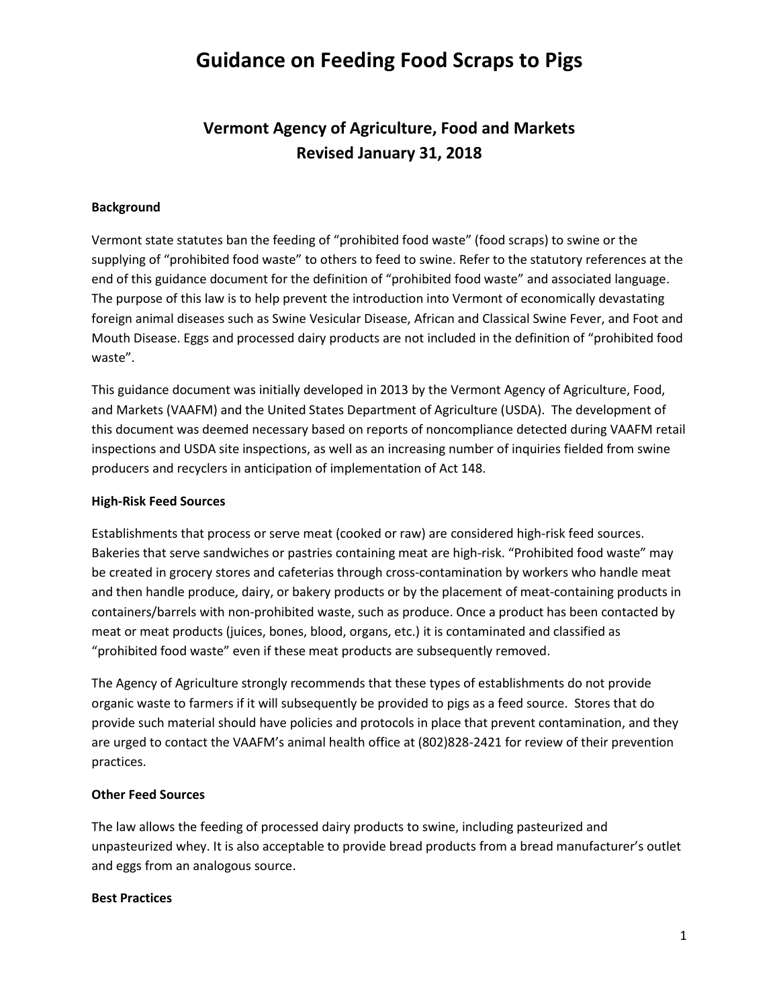## **Guidance on Feeding Food Scraps to Pigs**

## **Vermont Agency of Agriculture, Food and Markets Revised January 31, 2018**

### **Background**

Vermont state statutes ban the feeding of "prohibited food waste" (food scraps) to swine or the supplying of "prohibited food waste" to others to feed to swine. Refer to the statutory references at the end of this guidance document for the definition of "prohibited food waste" and associated language. The purpose of this law is to help prevent the introduction into Vermont of economically devastating foreign animal diseases such as Swine Vesicular Disease, African and Classical Swine Fever, and Foot and Mouth Disease. Eggs and processed dairy products are not included in the definition of "prohibited food waste".

This guidance document was initially developed in 2013 by the Vermont Agency of Agriculture, Food, and Markets (VAAFM) and the United States Department of Agriculture (USDA). The development of this document was deemed necessary based on reports of noncompliance detected during VAAFM retail inspections and USDA site inspections, as well as an increasing number of inquiries fielded from swine producers and recyclers in anticipation of implementation of Act 148.

### **High-Risk Feed Sources**

Establishments that process or serve meat (cooked or raw) are considered high-risk feed sources. Bakeries that serve sandwiches or pastries containing meat are high-risk. "Prohibited food waste" may be created in grocery stores and cafeterias through cross-contamination by workers who handle meat and then handle produce, dairy, or bakery products or by the placement of meat-containing products in containers/barrels with non-prohibited waste, such as produce. Once a product has been contacted by meat or meat products (juices, bones, blood, organs, etc.) it is contaminated and classified as "prohibited food waste" even if these meat products are subsequently removed.

The Agency of Agriculture strongly recommends that these types of establishments do not provide organic waste to farmers if it will subsequently be provided to pigs as a feed source. Stores that do provide such material should have policies and protocols in place that prevent contamination, and they are urged to contact the VAAFM's animal health office at (802)828-2421 for review of their prevention practices.

## **Other Feed Sources**

The law allows the feeding of processed dairy products to swine, including pasteurized and unpasteurized whey. It is also acceptable to provide bread products from a bread manufacturer's outlet and eggs from an analogous source.

#### **Best Practices**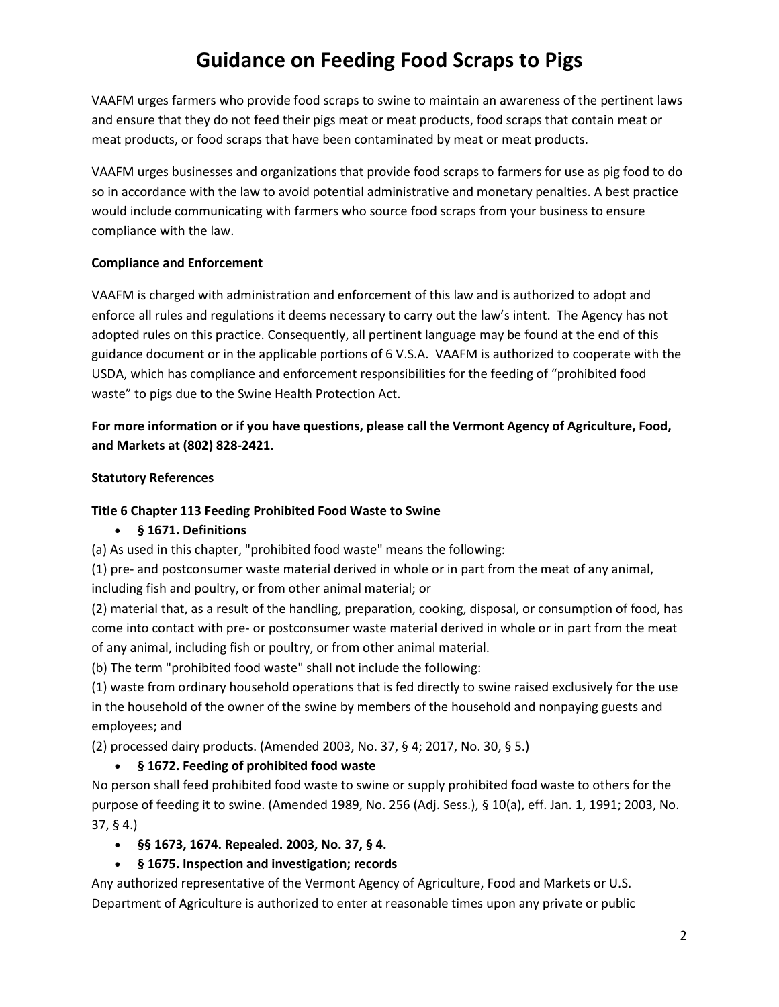# **Guidance on Feeding Food Scraps to Pigs**

VAAFM urges farmers who provide food scraps to swine to maintain an awareness of the pertinent laws and ensure that they do not feed their pigs meat or meat products, food scraps that contain meat or meat products, or food scraps that have been contaminated by meat or meat products.

VAAFM urges businesses and organizations that provide food scraps to farmers for use as pig food to do so in accordance with the law to avoid potential administrative and monetary penalties. A best practice would include communicating with farmers who source food scraps from your business to ensure compliance with the law.

## **Compliance and Enforcement**

VAAFM is charged with administration and enforcement of this law and is authorized to adopt and enforce all rules and regulations it deems necessary to carry out the law's intent. The Agency has not adopted rules on this practice. Consequently, all pertinent language may be found at the end of this guidance document or in the applicable portions of 6 V.S.A. VAAFM is authorized to cooperate with the USDA, which has compliance and enforcement responsibilities for the feeding of "prohibited food waste" to pigs due to the Swine Health Protection Act.

## **For more information or if you have questions, please call the Vermont Agency of Agriculture, Food, and Markets at (802) 828-2421.**

### **Statutory References**

## **Title 6 Chapter 113 Feeding Prohibited Food Waste to Swine**

## • **§ 1671. Definitions**

(a) As used in this chapter, "prohibited food waste" means the following:

(1) pre- and postconsumer waste material derived in whole or in part from the meat of any animal, including fish and poultry, or from other animal material; or

(2) material that, as a result of the handling, preparation, cooking, disposal, or consumption of food, has come into contact with pre- or postconsumer waste material derived in whole or in part from the meat of any animal, including fish or poultry, or from other animal material.

(b) The term "prohibited food waste" shall not include the following:

(1) waste from ordinary household operations that is fed directly to swine raised exclusively for the use in the household of the owner of the swine by members of the household and nonpaying guests and employees; and

(2) processed dairy products. (Amended 2003, No. 37, § 4; 2017, No. 30, § 5.)

## • **§ 1672. Feeding of prohibited food waste**

No person shall feed prohibited food waste to swine or supply prohibited food waste to others for the purpose of feeding it to swine. (Amended 1989, No. 256 (Adj. Sess.), § 10(a), eff. Jan. 1, 1991; 2003, No. 37, § 4.)

- **§§ 1673, 1674. Repealed. 2003, No. 37, § 4.**
- **§ 1675. Inspection and investigation; records**

Any authorized representative of the Vermont Agency of Agriculture, Food and Markets or U.S. Department of Agriculture is authorized to enter at reasonable times upon any private or public